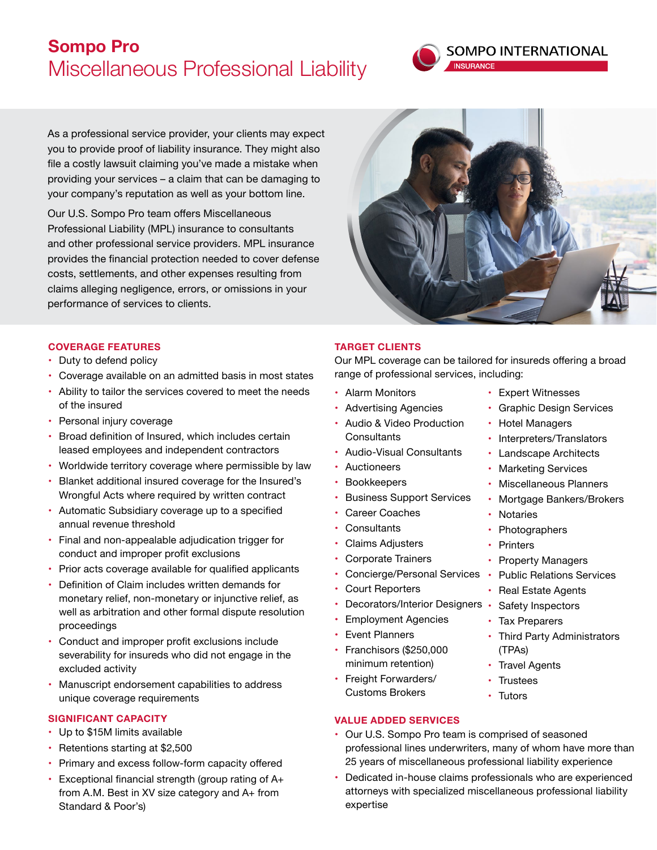# **Sompo Pro** Miscellaneous Professional Liability



As a professional service provider, your clients may expect you to provide proof of liability insurance. They might also file a costly lawsuit claiming you've made a mistake when providing your services – a claim that can be damaging to your company's reputation as well as your bottom line.

Our U.S. Sompo Pro team offers Miscellaneous Professional Liability (MPL) insurance to consultants and other professional service providers. MPL insurance provides the financial protection needed to cover defense costs, settlements, and other expenses resulting from claims alleging negligence, errors, or omissions in your performance of services to clients.



## **COVERAGE FEATURES**

- Duty to defend policy
- Coverage available on an admitted basis in most states
- • Ability to tailor the services covered to meet the needs of the insured
- Personal injury coverage
- Broad definition of Insured, which includes certain leased employees and independent contractors
- Worldwide territory coverage where permissible by law
- Blanket additional insured coverage for the Insured's Wrongful Acts where required by written contract
- Automatic Subsidiary coverage up to a specified annual revenue threshold
- Final and non-appealable adjudication trigger for conduct and improper profit exclusions
- Prior acts coverage available for qualified applicants
- Definition of Claim includes written demands for monetary relief, non-monetary or injunctive relief, as well as arbitration and other formal dispute resolution proceedings
- Conduct and improper profit exclusions include severability for insureds who did not engage in the excluded activity
- Manuscript endorsement capabilities to address unique coverage requirements

#### **SIGNIFICANT CAPACITY**

- • Up to \$15M limits available
- Retentions starting at \$2,500
- Primary and excess follow-form capacity offered
- Exceptional financial strength (group rating of A+ from A.M. Best in XV size category and A+ from Standard & Poor's)

### **TARGET CLIENTS**

Our MPL coverage can be tailored for insureds offering a broad range of professional services, including:

- • Alarm Monitors
- • Advertising Agencies
- • Audio & Video Production **Consultants**
- • Audio-Visual Consultants
- • Auctioneers
- Bookkeepers
- **Business Support Services**
- • Career Coaches
- Consultants
- Claims Adjusters
- • Corporate Trainers
- Concierge/Personal Services
- **Court Reporters**
- Decorators/Interior Designers Safety Inspectors
- • Employment Agencies
- • Event Planners
- • Franchisors (\$250,000 minimum retention)
- Freight Forwarders/ Customs Brokers

## **VALUE ADDED SERVICES**

- Our U.S. Sompo Pro team is comprised of seasoned professional lines underwriters, many of whom have more than 25 years of miscellaneous professional liability experience
- Dedicated in-house claims professionals who are experienced attorneys with specialized miscellaneous professional liability expertise
- • Expert Witnesses
- **Graphic Design Services**
- Hotel Managers
- Interpreters/Translators
- **Landscape Architects**
- Marketing Services
- • Miscellaneous Planners
- Mortgage Bankers/Brokers
- Notaries
- Photographers
- Printers
- Property Managers
- Public Relations Services
- Real Estate Agents
- 
- Tax Preparers
- Third Party Administrators (TPAs)
- Travel Agents
- **Trustees**
- • Tutors